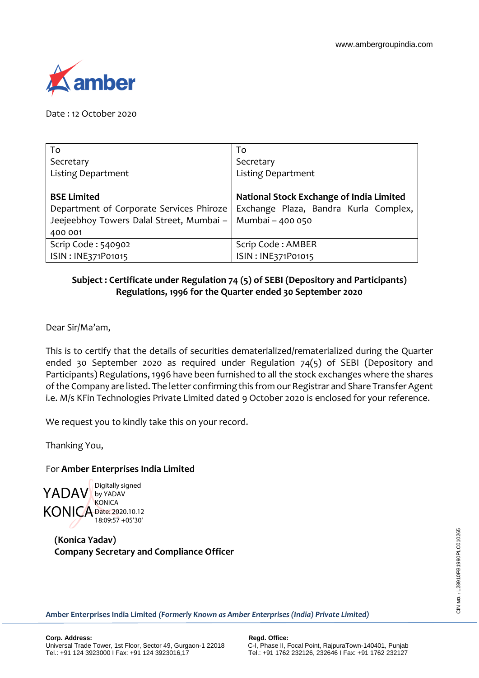

Date : 12 October 2020

| To                                       | To                                       |
|------------------------------------------|------------------------------------------|
| Secretary                                | Secretary                                |
| <b>Listing Department</b>                | <b>Listing Department</b>                |
|                                          |                                          |
| <b>BSE Limited</b>                       | National Stock Exchange of India Limited |
| Department of Corporate Services Phiroze | Exchange Plaza, Bandra Kurla Complex,    |
| Jeejeebhoy Towers Dalal Street, Mumbai - | Mumbai - 400 050                         |
| 400 001                                  |                                          |
| Scrip Code: 540902                       | Scrip Code: AMBER                        |
| ISIN: INE371P01015                       | ISIN: INE371P01015                       |

## **Subject : Certificate under Regulation 74 (5) of SEBI (Depository and Participants) Regulations, 1996 for the Quarter ended 30 September 2020**

Dear Sir/Ma'am,

This is to certify that the details of securities dematerialized/rematerialized during the Quarter ended 30 September 2020 as required under Regulation 74(5) of SEBI (Depository and Participants) Regulations, 1996 have been furnished to all the stock exchanges where the shares of the Company are listed. The letter confirming this from our Registrar and Share Transfer Agent i.e. M/s KFin Technologies Private Limited dated 9 October 2020 is enclosed for your reference.

We request you to kindly take this on your record.

Thanking You,

## For **Amber Enterprises India Limited**



**(Konica Yadav) Company Secretary and Compliance Officer**

**Amber Enterprises India Limited** *(Formerly Known as Amber Enterprises (India) Private Limited)*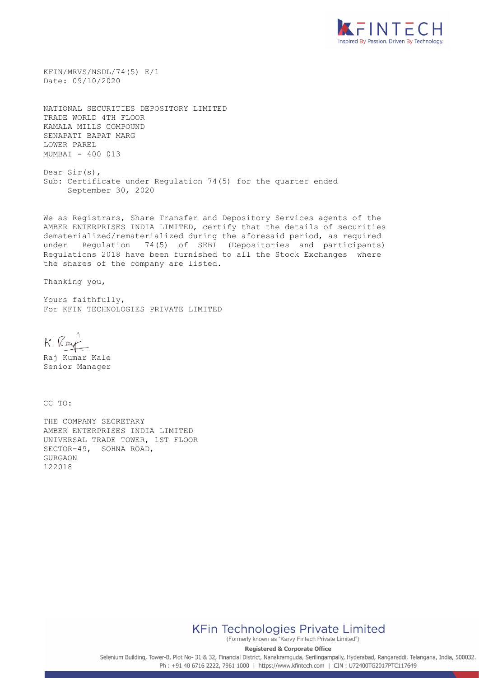

KFIN/MRVS/NSDL/74(5) E/1 Date: 09/10/2020

NATIONAL SECURITIES DEPOSITORY LIMITED TRADE WORLD 4TH FLOOR KAMALA MILLS COMPOUND SENAPATI BAPAT MARG LOWER PAREL MUMBAI - 400 013

Dear Sir(s), Sub: Certificate under Regulation 74(5) for the quarter ended September 30, 2020

We as Registrars, Share Transfer and Depository Services agents of the AMBER ENTERPRISES INDIA LIMITED, certify that the details of securities dematerialized/rematerialized during the aforesaid period, as required under Regulation 74(5) of SEBI (Depositories and participants) Regulations 2018 have been furnished to all the Stock Exchanges where the shares of the company are listed.

Thanking you,

Yours faithfully, For KFIN TECHNOLOGIES PRIVATE LIMITED

K. Rey

Raj Kumar Kale Senior Manager

CC TO:

THE COMPANY SECRETARY AMBER ENTERPRISES INDIA LIMITED UNIVERSAL TRADE TOWER, 1ST FLOOR SECTOR-49, SOHNA ROAD, GURGAON 122018

**KFin Technologies Private Limited** 

(Formerly known as "Karvy Fintech Private Limited") **Registered & Corporate Office** 

Selenium Building, Tower-B, Plot No- 31 & 32, Financial District, Nanakramguda, Serilingampally, Hyderabad, Rangareddi, Telangana, India, 500032. Ph: +91 40 6716 2222, 7961 1000 | https://www.kfintech.com | CIN: U72400TG2017PTC117649